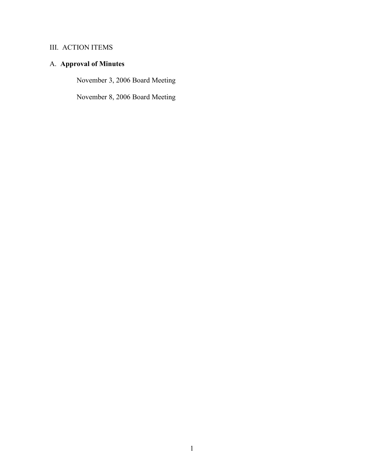# A. **Approval of Minutes**

November 3, 2006 Board Meeting

November 8, 2006 Board Meeting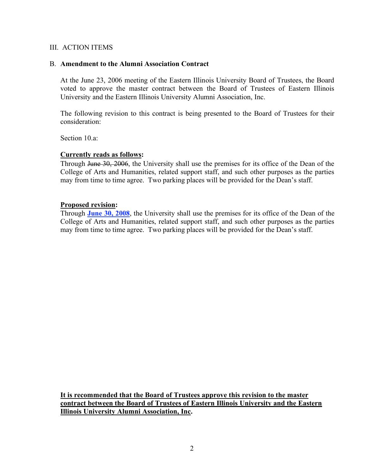### B. **Amendment to the Alumni Association Contract**

At the June 23, 2006 meeting of the Eastern Illinois University Board of Trustees, the Board voted to approve the master contract between the Board of Trustees of Eastern Illinois University and the Eastern Illinois University Alumni Association, Inc.

The following revision to this contract is being presented to the Board of Trustees for their consideration:

Section 10 a<sup>-</sup>

#### **Currently reads as follows:**

Through June 30, 2006, the University shall use the premises for its office of the Dean of the College of Arts and Humanities, related support staff, and such other purposes as the parties may from time to time agree. Two parking places will be provided for the Dean's staff.

#### **Proposed revision:**

Through **June 30, 2008**, the University shall use the premises for its office of the Dean of the College of Arts and Humanities, related support staff, and such other purposes as the parties may from time to time agree. Two parking places will be provided for the Dean's staff.

**It is recommended that the Board of Trustees approve this revision to the master contract between the Board of Trustees of Eastern Illinois University and the Eastern Illinois University Alumni Association, Inc.**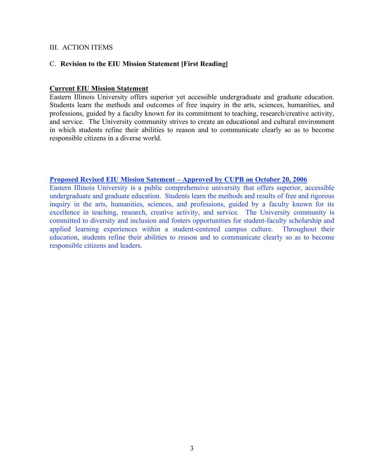### C. **Revision to the EIU Mission Statement [First Reading]**

### **Current EIU Mission Statement**

Eastern Illinois University offers superior yet accessible undergraduate and graduate education. Students learn the methods and outcomes of free inquiry in the arts, sciences, humanities, and professions, guided by a faculty known for its commitment to teaching, research/creative activity, and service. The University community strives to create an educational and cultural environment in which students refine their abilities to reason and to communicate clearly so as to become responsible citizens in a diverse world.

### **Proposed Revised EIU Mission Satement – Approved by CUPB on October 20, 2006**

Eastern Illinois University is a public comprehensive university that offers superior, accessible undergraduate and graduate education. Students learn the methods and results of free and rigorous inquiry in the arts, humanities, sciences, and professions, guided by a faculty known for its excellence in teaching, research, creative activity, and service. The University community is committed to diversity and inclusion and fosters opportunities for student-faculty scholarship and applied learning experiences within a student-centered campus culture. Throughout their education, students refine their abilities to reason and to communicate clearly so as to become responsible citizens and leaders.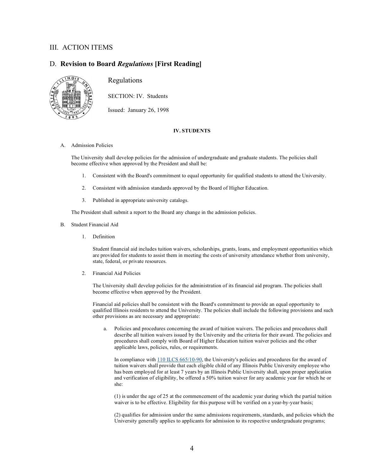### D. **Revision to Board** *Regulations* **[First Reading]**



Regulations

SECTION: IV. Students

Issued: January 26, 1998

#### **IV. STUDENTS**

A. Admission Policies

The University shall develop policies for the admission of undergraduate and graduate students. The policies shall become effective when approved by the President and shall be:

- 1. Consistent with the Board's commitment to equal opportunity for qualified students to attend the University.
- 2. Consistent with admission standards approved by the Board of Higher Education.
- 3. Published in appropriate university catalogs.

The President shall submit a report to the Board any change in the admission policies.

- B. Student Financial Aid
	- 1. Definition

Student financial aid includes tuition waivers, scholarships, grants, loans, and employment opportunities which are provided for students to assist them in meeting the costs of university attendance whether from university, state, federal, or private resources.

2. Financial Aid Policies

The University shall develop policies for the administration of its financial aid program. The policies shall become effective when approved by the President.

Financial aid policies shall be consistent with the Board's commitment to provide an equal opportunity to qualified Illinois residents to attend the University. The policies shall include the following provisions and such other provisions as are necessary and appropriate:

a. Policies and procedures concerning the award of tuition waivers. The policies and procedures shall describe all tuition waivers issued by the University and the criteria for their award. The policies and procedures shall comply with Board of Higher Education tuition waiver policies and the other applicable laws, policies, rules, or requirements.

In compliance with 110 ILCS 665/10-90, the University's policies and procedures for the award of tuition waivers shall provide that each eligible child of any Illinois Public University employee who has been employed for at least 7 years by an Illinois Public University shall, upon proper application and verification of eligibility, be offered a 50% tuition waiver for any academic year for which he or she:

(1) is under the age of 25 at the commencement of the academic year during which the partial tuition waiver is to be effective. Eligibility for this purpose will be verified on a year-by-year basis;

(2) qualifies for admission under the same admissions requirements, standards, and policies which the University generally applies to applicants for admission to its respective undergraduate programs;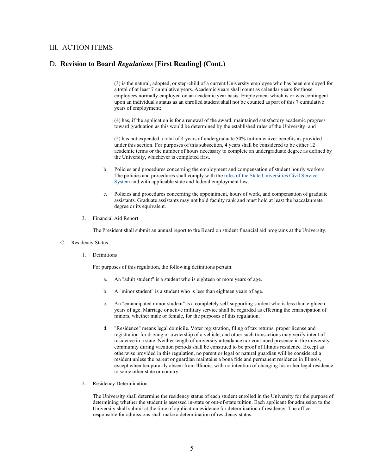#### D. **Revision to Board** *Regulations* **[First Reading] (Cont.)**

(3) is the natural, adopted, or step-child of a current University employee who has been employed for a total of at least 7 cumulative years. Academic years shall count as calendar years for those employees normally employed on an academic year basis. Employment which is or was contingent upon an individual's status as an enrolled student shall not be counted as part of this 7 cumulative years of employment;

(4) has, if the application is for a renewal of the award, maintained satisfactory academic progress toward graduation as this would be determined by the established rules of the University; and

(5) has not expended a total of 4 years of undergraduate 50% tuition waiver benefits as provided under this section. For purposes of this subsection, 4 years shall be considered to be either 12 academic terms or the number of hours necessary to complete an undergraduate degree as defined by the University, whichever is completed first.

- b. Policies and procedures concerning the employment and compensation of student hourly workers. The policies and procedures shall comply with the rules of the State Universities Civil Service System and with applicable state and federal employment law.
- c. Policies and procedures concerning the appointment, hours of work, and compensation of graduate assistants. Graduate assistants may not hold faculty rank and must hold at least the baccalaureate degree or its equivalent.
- 3. Financial Aid Report

The President shall submit an annual report to the Board on student financial aid programs at the University.

#### C. Residency Status

1. Definitions

For purposes of this regulation, the following definitions pertain:

- a. An "adult student" is a student who is eighteen or more years of age.
- b. A "minor student" is a student who is less than eighteen years of age.
- c. An "emancipated minor student" is a completely self-supporting student who is less than eighteen years of age. Marriage or active military service shall be regarded as effecting the emancipation of minors, whether male or female, for the purposes of this regulation.
- d. "Residence" means legal domicile. Voter registration, filing of tax returns, proper license and registration for driving or ownership of a vehicle, and other such transactions may verify intent of residence in a state. Neither length of university attendance nor continued presence in the university community during vacation periods shall be construed to be proof of Illinois residence. Except as otherwise provided in this regulation, no parent or legal or natural guardian will be considered a resident unless the parent or guardian maintains a bona fide and permanent residence in Illinois, except when temporarily absent from Illinois, with no intention of changing his or her legal residence to some other state or country.
- 2. Residency Determination

The University shall determine the residency status of each student enrolled in the University for the purpose of determining whether the student is assessed in-state or out-of-state tuition. Each applicant for admission to the University shall submit at the time of application evidence for determination of residency. The office responsible for admissions shall make a determination of residency status.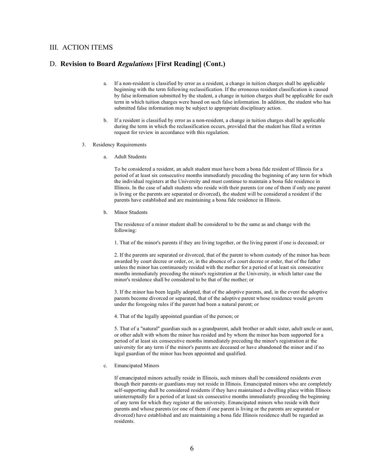#### D. **Revision to Board** *Regulations* **[First Reading] (Cont.)**

- a. If a non-resident is classified by error as a resident, a change in tuition charges shall be applicable beginning with the term following reclassification. If the erroneous resident classification is caused by false information submitted by the student, a change in tuition charges shall be applicable for each term in which tuition charges were based on such false information. In addition, the student who has submitted false information may be subject to appropriate disciplinary action.
- b. If a resident is classified by error as a non-resident, a change in tuition charges shall be applicable during the term in which the reclassification occurs, provided that the student has filed a written request for review in accordance with this regulation.
- 3. Residency Requirements
	- a. Adult Students

To be considered a resident, an adult student must have been a bona fide resident of Illinois for a period of at least six consecutive months immediately preceding the beginning of any term for which the individual registers at the University and must continue to maintain a bona fide residence in Illinois. In the case of adult students who reside with their parents (or one of them if only one parent is living or the parents are separated or divorced), the student will be considered a resident if the parents have established and are maintaining a bona fide residence in Illinois.

b. Minor Students

The residence of a minor student shall be considered to be the same as and change with the following:

1. That of the minor's parents if they are living together, or the living parent if one is deceased; or

2. If the parents are separated or divorced, that of the parent to whom custody of the minor has been awarded by court decree or order, or, in the absence of a court decree or order, that of the father unless the minor has continuously resided with the mother for a period of at least six consecutive months immediately preceding the minor's registration at the University, in which latter case the minor's residence shall be considered to be that of the mother; or

3. If the minor has been legally adopted, that of the adoptive parents, and, in the event the adoptive parents become divorced or separated, that of the adoptive parent whose residence would govern under the foregoing rules if the parent had been a natural parent; or

4. That of the legally appointed guardian of the person; or

5. That of a "natural" guardian such as a grandparent, adult brother or adult sister, adult uncle or aunt, or other adult with whom the minor has resided and by whom the minor has been supported for a period of at least six consecutive months immediately preceding the minor's registration at the university for any term if the minor's parents are deceased or have abandoned the minor and if no legal guardian of the minor has been appointed and qualified.

c. Emancipated Minors

If emancipated minors actually reside in Illinois, such minors shall be considered residents even though their parents or guardians may not reside in Illinois. Emancipated minors who are completely self-supporting shall be considered residents if they have maintained a dwelling place within Illinois uninterruptedly for a period of at least six consecutive months immediately preceding the beginning of any term for which they register at the university. Emancipated minors who reside with their parents and whose parents (or one of them if one parent is living or the parents are separated or divorced) have established and are maintaining a bona fide Illinois residence shall be regarded as residents.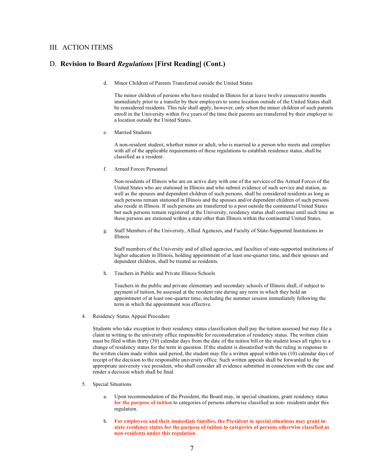#### D. **Revision to Board** *Regulations* **[First Reading] (Cont.)**

d. Minor Children of Parents Transferred outside the United States

The minor children of persons who have resided in Illinois for at leave twelve consecutive months immediately prior to a transfer by their employers to some location outside of the United States shall be considered residents. This rule shall apply, however, only when the minor children of such parents enroll in the University within five years of the time their parents are transferred by their employer to a location outside the United States.

e. Married Students

A non-resident student, whether minor or adult, who is married to a person who meets and complies with all of the applicable requirements of these regulations to establish residence status, shall be classified as a resident.

f. Armed Forces Personnel

Non-residents of Illinois who are on active duty with one of the services of the Armed Forces of the United States who are stationed in Illinois and who submit evidence of such service and station, as well as the spouses and dependent children of such persons, shall be considered residents as long as such persons remain stationed in Illinois and the spouses and/or dependent children of such persons also reside in Illinois. If such persons are transferred to a post outside the continental United States but such persons remain registered at the University, residency status shall continue until such time as these persons are stationed within a state other than Illinois within the continental United States.

g. Staff Members of the University, Allied Agencies, and Faculty of State-Supported Institutions in Illinois

Staff members of the University and of allied agencies, and faculties of state-supported institutions of higher education in Illinois, holding appointment of at least one-quarter time, and their spouses and dependent children, shall be treated as residents.

h. Teachers in Public and Private Illinois Schools

Teachers in the public and private elementary and secondary schools of Illinois shall, if subject to payment of tuition, be assessed at the resident rate during any term in which they hold an appointment of at least one-quarter time, including the summer session immediately following the term in which the appointment was effective.

4. Residency Status Appeal Procedure

Students who take exception to their residency status classification shall pay the tuition assessed but may file a claim in writing to the university office responsible for reconsideration of residency status. The written claim must be filed within thirty (30) calendar days from the date of the tuition bill or the student loses all rights to a change of residency status for the term in question. If the student is dissatisfied with the ruling in response to the written claim made within said period, the student may file a written appeal within ten (10) calendar days of receipt of the decision to the responsible university office. Such written appeals shall be forwarded to the appropriate university vice president, who shall consider all evidence submitted in connection with the case and render a decision which shall be final.

- 5. Special Situations
	- a. Upon recommendation of the President, the Board may, in special situations, grant residency status **for the purpose of tuition** to categories of persons otherwise classified as non- residents under this regulation.
	- b. **For employees and their immediate families, the President in special situations may grant instate residency status for the purpose of tuition to categories of persons otherwise classified as non-residents under this regulation**.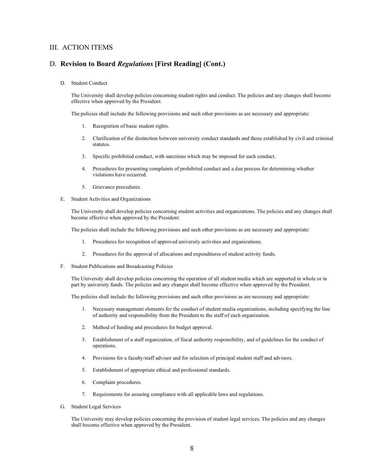#### D. **Revision to Board** *Regulations* **[First Reading] (Cont.)**

D. Student Conduct

The University shall develop policies concerning student rights and conduct. The policies and any changes shall become effective when approved by the President.

The policies shall include the following provisions and such other provisions as are necessary and appropriate:

- 1. Recognition of basic student rights.
- 2. Clarification of the distinction between university conduct standards and those established by civil and criminal statutes.
- 3. Specific prohibited conduct, with sanctions which may be imposed for such conduct.
- 4. Procedures for presenting complaints of prohibited conduct and a due process for determining whether violations have occurred.
- 5. Grievance procedures.
- E. Student Activities and Organizations

The University shall develop policies concerning student activities and organizations. The policies and any changes shall become effective when approved by the President.

The policies shall include the following provisions and such other provisions as are necessary and appropriate:

- 1. Procedures for recognition of approved university activities and organizations.
- 2. Procedures for the approval of allocations and expenditures of student activity funds.
- F. Student Publications and Broadcasting Policies

The University shall develop policies concerning the operation of all student media which are supported in whole or in part by university funds. The policies and any changes shall become effective when approved by the President.

The policies shall include the following provisions and such other provisions as are necessary and appropriate:

- 1. Necessary management elements for the conduct of student media organizations, including specifying the line of authority and responsibility from the President to the staff of each organization.
- 2. Method of funding and procedures for budget approval.
- 3. Establishment of a staff organization, of fiscal authority responsibility, and of guidelines for the conduct of operations.
- 4. Provisions for a faculty/staff advisor and for selection of principal student staff and advisors.
- 5. Establishment of appropriate ethical and professional standards.
- 6. Complaint procedures.
- 7. Requirements for assuring compliance with all applicable laws and regulations.
- G. Student Legal Services

The University may develop policies concerning the provision of student legal services. The policies and any changes shall become effective when approved by the President.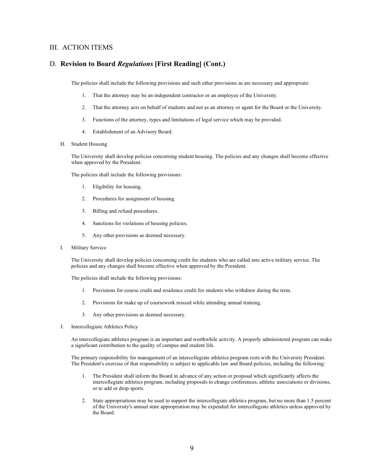#### D. **Revision to Board** *Regulations* **[First Reading] (Cont.)**

The policies shall include the following provisions and such other provisions as are necessary and appropriate:

- 1. That the attorney may be an independent contractor or an employee of the University.
- 2. That the attorney acts on behalf of students and not as an attorney or agent for the Board or the University.
- 3. Functions of the attorney, types and limitations of legal service which may be provided.
- 4. Establishment of an Advisory Board.
- H. Student Housing

The University shall develop policies concerning student housing. The policies and any changes shall become effective when approved by the President.

The policies shall include the following provisions:

- 1. Eligibility for housing.
- 2. Procedures for assignment of housing.
- 3. Billing and refund procedures.
- 4. Sanctions for violations of housing policies.
- 5. Any other provisions as deemed necessary.
- I. Military Service

The University shall develop policies concerning credit for students who are called into active military service. The policies and any changes shall become effective when approved by the President.

The policies shall include the following provisions:

- 1. Provisions for course credit and residence credit for students who withdraw during the term.
- 2. Provisions for make up of coursework missed while attending annual training.
- 3. Any other provisions as deemed necessary.
- J. Intercollegiate Athletics Policy

An intercollegiate athletics program is an important and worthwhile activity. A properly administered program can make a significant contribution to the quality of campus and student life.

The primary responsibility for management of an intercollegiate athletics program rests with the University President. The President's exercise of that responsibility is subject to applicable law and Board policies, including the following:

- 1. The President shall inform the Board in advance of any action or proposal which significantly affects the intercollegiate athletics program, including proposals to change conferences, athletic associations or divisions, or to add or drop sports.
- 2. State appropriations may be used to support the intercollegiate athletics program, but no more than 1.5 percent of the University's annual state appropriation may be expended for intercollegiate athletics unless approved by the Board.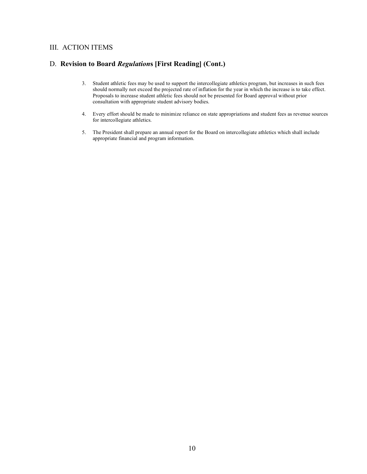# D. **Revision to Board** *Regulation***s [First Reading] (Cont.)**

- 3. Student athletic fees may be used to support the intercollegiate athletics program, but increases in such fees should normally not exceed the projected rate of inflation for the year in which the increase is to take effect. Proposals to increase student athletic fees should not be presented for Board approval without prior consultation with appropriate student advisory bodies.
- 4. Every effort should be made to minimize reliance on state appropriations and student fees as revenue sources for intercollegiate athletics.
- 5. The President shall prepare an annual report for the Board on intercollegiate athletics which shall include appropriate financial and program information.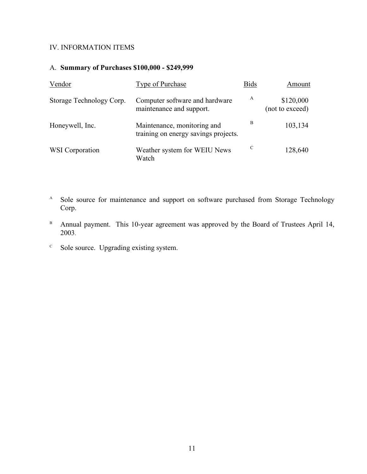# A. **Summary of Purchases \$100,000 - \$249,999**

| Vendor                   | <b>Type of Purchase</b>                                             | <b>Bids</b> | Amount                       |
|--------------------------|---------------------------------------------------------------------|-------------|------------------------------|
| Storage Technology Corp. | Computer software and hardware<br>maintenance and support.          | A           | \$120,000<br>(not to exceed) |
| Honeywell, Inc.          | Maintenance, monitoring and<br>training on energy savings projects. | B           | 103,134                      |
| <b>WSI</b> Corporation   | Weather system for WEIU News<br>Watch                               | C           | 128,640                      |

- <sup>A</sup> Sole source for maintenance and support on software purchased from Storage Technology Corp.
- B Annual payment. This 10-year agreement was approved by the Board of Trustees April 14, 2003.
- $\degree$  Sole source. Upgrading existing system.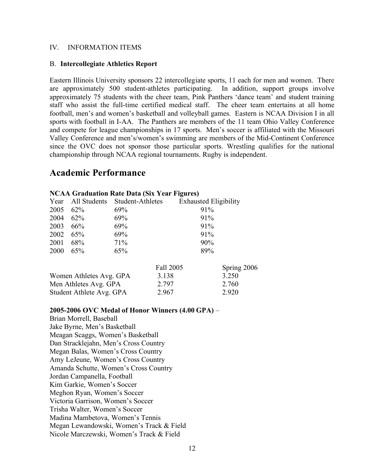#### B. **Intercollegiate Athletics Report**

Eastern Illinois University sponsors 22 intercollegiate sports, 11 each for men and women. There are approximately 500 student-athletes participating. In addition, support groups involve approximately 75 students with the cheer team, Pink Panthers 'dance team' and student training staff who assist the full-time certified medical staff. The cheer team entertains at all home football, men's and women's basketball and volleyball games. Eastern is NCAA Division I in all sports with football in I-AA. The Panthers are members of the 11 team Ohio Valley Conference and compete for league championships in 17 sports. Men's soccer is affiliated with the Missouri Valley Conference and men's/women's swimming are members of the Mid-Continent Conference since the OVC does not sponsor those particular sports. Wrestling qualifies for the national championship through NCAA regional tournaments. Rugby is independent.

# **Academic Performance**

| <b>NUAA Grauuation Kate Data (Six Tear Figures)</b> |        |                               |                              |             |  |
|-----------------------------------------------------|--------|-------------------------------|------------------------------|-------------|--|
| Year                                                |        | All Students Student-Athletes | <b>Exhausted Eligibility</b> |             |  |
| 2005                                                | 62%    | 69%                           | 91%                          |             |  |
| 2004                                                | $62\%$ | 69%                           | 91%                          |             |  |
| 2003                                                | 66%    | 69%                           | 91%                          |             |  |
| 2002                                                | 65%    | 69%                           | 91%                          |             |  |
| 2001                                                | 68%    | 71%                           | 90%                          |             |  |
| 2000                                                | 65%    | 65%                           | 89%                          |             |  |
|                                                     |        |                               | Fall 2005                    | Spring 2006 |  |
| Women Athletes Avg. GPA                             |        |                               | 3.138                        | 3.250       |  |
| Men Athletes Avg. GPA                               |        |                               | 2.797                        | 2.760       |  |
| Student Athlete Avg. GPA                            |        |                               | 2.967                        | 2.920       |  |

# **NCAA Graduation Rate Data (Six Year Figures)**

#### **2005-2006 OVC Medal of Honor Winners (4.00 GPA)** –

Brian Morrell, Baseball Jake Byrne, Men's Basketball Meagan Scaggs, Women's Basketball Dan Stracklejahn, Men's Cross Country Megan Balas, Women's Cross Country Amy LeJeune, Women's Cross Country Amanda Schutte, Women's Cross Country Jordan Campanella, Football Kim Garkie, Women's Soccer Meghon Ryan, Women's Soccer Victoria Garrison, Women's Soccer Trisha Walter, Women's Soccer Madina Mambetova, Women's Tennis Megan Lewandowski, Women's Track & Field Nicole Marczewski, Women's Track & Field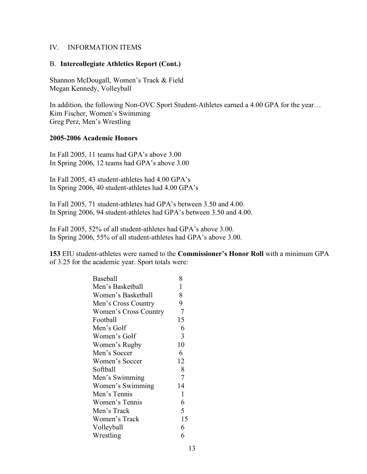#### B. **Intercollegiate Athletics Report (Cont.)**

Shannon McDougall, Women's Track & Field Megan Kennedy, Volleyball

In addition, the following Non-OVC Sport Student-Athletes earned a 4.00 GPA for the year… Kim Fischer, Women's Swimming Greg Perz, Men's Wrestling

### **2005-2006 Academic Honors**

In Fall 2005, 11 teams had GPA's above 3.00 In Spring 2006, 12 teams had GPA's above 3.00

In Fall 2005, 43 student-athletes had 4.00 GPA's In Spring 2006, 40 student-athletes had 4.00 GPA's

In Fall 2005, 71 student-athletes had GPA's between 3.50 and 4.00. In Spring 2006, 94 student-athletes had GPA's between 3.50 and 4.00.

In Fall 2005, 52% of all student-athletes had GPA's above 3.00. In Spring 2006, 55% of all student-athletes had GPA's above 3.00.

**153** EIU student-athletes were named to the **Commissioner's Honor Roll** with a minimum GPA of 3.25 for the academic year. Sport totals were:

| Baseball              | 8            |
|-----------------------|--------------|
| Men's Basketball      | 1            |
| Women's Basketball    | 8            |
| Men's Cross Country   | 9            |
| Women's Cross Country | 7            |
| Football              | 15           |
| Men's Golf            | 6            |
| Women's Golf          | 3            |
| Women's Rugby         | 10           |
| Men's Soccer          | 6            |
| Women's Soccer        | 12           |
| Softball              | 8            |
| Men's Swimming        | 7            |
| Women's Swimming      | 14           |
| Men's Tennis          | $\mathbf{1}$ |
| Women's Tennis        | 6            |
| Men's Track           | 5            |
| Women's Track         | 15           |
| Volleyball            | 6            |
| Wrestling             | 6            |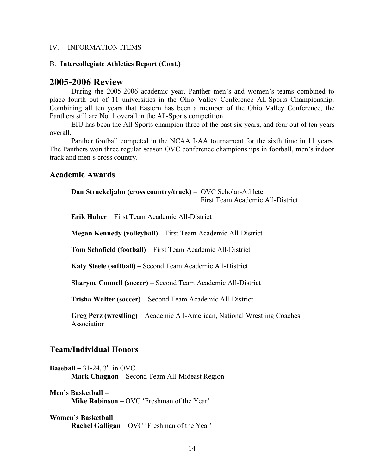#### B. **Intercollegiate Athletics Report (Cont.)**

## **2005-2006 Review**

During the 2005-2006 academic year, Panther men's and women's teams combined to place fourth out of 11 universities in the Ohio Valley Conference All-Sports Championship. Combining all ten years that Eastern has been a member of the Ohio Valley Conference, the Panthers still are No. 1 overall in the All-Sports competition.

EIU has been the All-Sports champion three of the past six years, and four out of ten years overall.

Panther football competed in the NCAA I-AA tournament for the sixth time in 11 years. The Panthers won three regular season OVC conference championships in football, men's indoor track and men's cross country.

## **Academic Awards**

**Dan Strackeljahn (cross country/track) –** OVC Scholar-Athlete First Team Academic All-District

**Erik Huber** – First Team Academic All-District

**Megan Kennedy (volleyball)** – First Team Academic All-District

**Tom Schofield (football)** – First Team Academic All-District

**Katy Steele (softball)** – Second Team Academic All-District

**Sharyne Connell (soccer) –** Second Team Academic All-District

**Trisha Walter (soccer)** – Second Team Academic All-District

**Greg Perz (wrestling)** – Academic All-American, National Wrestling Coaches Association

# **Team/Individual Honors**

**Baseball** – 31-24,  $3<sup>rd</sup>$  in OVC **Mark Chagnon** – Second Team All-Mideast Region

**Men's Basketball – Mike Robinson** – OVC 'Freshman of the Year'

**Women's Basketball** – **Rachel Galligan** – OVC 'Freshman of the Year'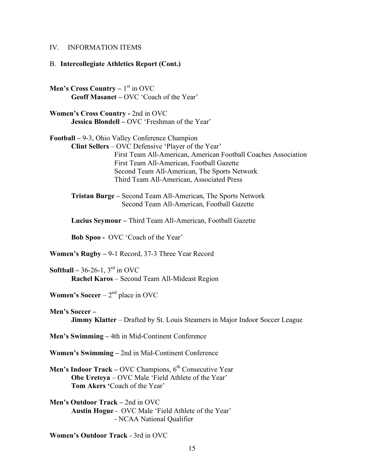#### B. **Intercollegiate Athletics Report (Cont.)**

**Men's Cross Country – 1<sup>st</sup> in OVC Geoff Masanet –** OVC 'Coach of the Year'

**Women's Cross Country -** 2nd in OVC **Jessica Blondell –** OVC 'Freshman of the Year'

**Football –** 9-3, Ohio Valley Conference Champion **Clint Sellers** – OVC Defensive 'Player of the Year' First Team All-American, American Football Coaches Association First Team All-American, Football Gazette Second Team All-American, The Sports Network Third Team All-American, Associated Press

**Tristan Burge –** Second Team All-American, The Sports Network Second Team All-American, Football Gazette

**Lucius Seymour –** Third Team All-American, Football Gazette

**Bob Spoo -** OVC 'Coach of the Year'

**Women's Rugby –** 9-1 Record, 37-3 Three Year Record

**Softball**  $-36-26-1$ ,  $3<sup>rd</sup>$  in OVC **Rachel Karos** – Second Team All-Mideast Region

**Women's Soccer** –  $2<sup>nd</sup>$  place in OVC

**Men's Soccer – Jimmy Klatter** – Drafted by St. Louis Steamers in Major Indoor Soccer League

**Men's Swimming –** 4th in Mid-Continent Conference

**Women's Swimming –** 2nd in Mid-Continent Conference

**Men's Indoor Track –** OVC Champions, 6<sup>th</sup> Consecutive Year **Obe Ureteya** – OVC Male 'Field Athlete of the Year' **Tom Akers '**Coach of the Year'

**Men's Outdoor Track –** 2nd in OVC **Austin Hogue** - OVC Male 'Field Athlete of the Year' - NCAA National Qualifier

**Women's Outdoor Track** - 3rd in OVC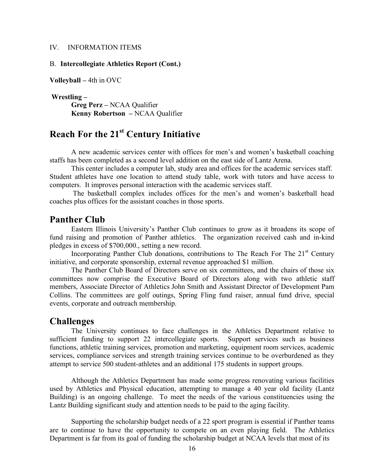#### B. **Intercollegiate Athletics Report (Cont.)**

**Volleyball –** 4th in OVC

**Wrestling – Greg Perz –** NCAA Qualifier **Kenny Robertson –** NCAA Qualifier

# **Reach For the 21st Century Initiative**

A new academic services center with offices for men's and women's basketball coaching staffs has been completed as a second level addition on the east side of Lantz Arena.

This center includes a computer lab, study area and offices for the academic services staff. Student athletes have one location to attend study table, work with tutors and have access to computers. It improves personal interaction with the academic services staff.

The basketball complex includes offices for the men's and women's basketball head coaches plus offices for the assistant coaches in those sports.

# **Panther Club**

Eastern Illinois University's Panther Club continues to grow as it broadens its scope of fund raising and promotion of Panther athletics. The organization received cash and in-kind pledges in excess of \$700,000., setting a new record.

Incorporating Panther Club donations, contributions to The Reach For The  $21<sup>st</sup>$  Century initiative, and corporate sponsorship, external revenue approached \$1 million.

The Panther Club Board of Directors serve on six committees, and the chairs of those six committees now comprise the Executive Board of Directors along with two athletic staff members, Associate Director of Athletics John Smith and Assistant Director of Development Pam Collins. The committees are golf outings, Spring Fling fund raiser, annual fund drive, special events, corporate and outreach membership.

## **Challenges**

The University continues to face challenges in the Athletics Department relative to sufficient funding to support 22 intercollegiate sports. Support services such as business functions, athletic training services, promotion and marketing, equipment room services, academic services, compliance services and strength training services continue to be overburdened as they attempt to service 500 student-athletes and an additional 175 students in support groups.

Although the Athletics Department has made some progress renovating various facilities used by Athletics and Physical education, attempting to manage a 40 year old facility (Lantz Building) is an ongoing challenge. To meet the needs of the various constituencies using the Lantz Building significant study and attention needs to be paid to the aging facility.

Supporting the scholarship budget needs of a 22 sport program is essential if Panther teams are to continue to have the opportunity to compete on an even playing field. The Athletics Department is far from its goal of funding the scholarship budget at NCAA levels that most of its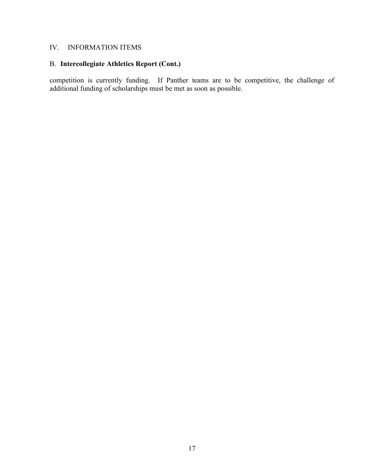# B. **Intercollegiate Athletics Report (Cont.)**

competition is currently funding. If Panther teams are to be competitive, the challenge of additional funding of scholarships must be met as soon as possible.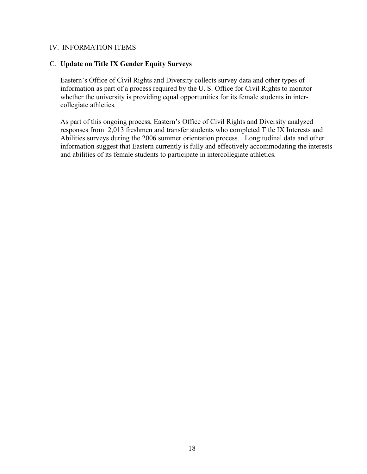## C. **Update on Title IX Gender Equity Surveys**

Eastern's Office of Civil Rights and Diversity collects survey data and other types of information as part of a process required by the U. S. Office for Civil Rights to monitor whether the university is providing equal opportunities for its female students in intercollegiate athletics.

As part of this ongoing process, Eastern's Office of Civil Rights and Diversity analyzed responses from 2,013 freshmen and transfer students who completed Title IX Interests and Abilities surveys during the 2006 summer orientation process. Longitudinal data and other information suggest that Eastern currently is fully and effectively accommodating the interests and abilities of its female students to participate in intercollegiate athletics.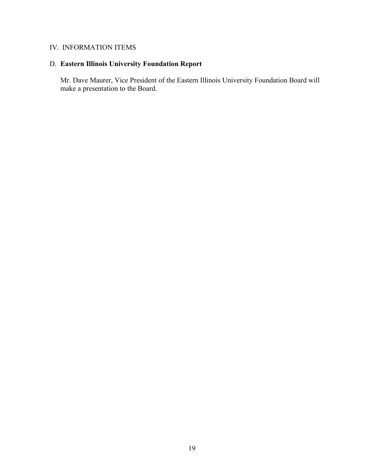# D. **Eastern Illinois University Foundation Report**

Mr. Dave Maurer, Vice President of the Eastern Illinois University Foundation Board will make a presentation to the Board.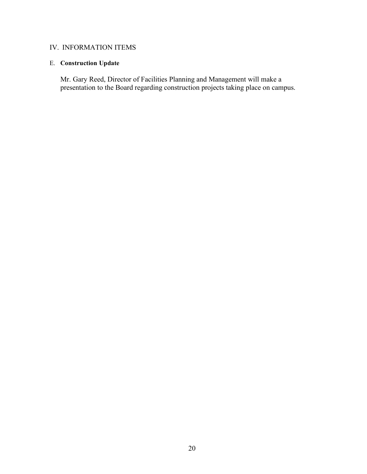# E. **Construction Update**

Mr. Gary Reed, Director of Facilities Planning and Management will make a presentation to the Board regarding construction projects taking place on campus.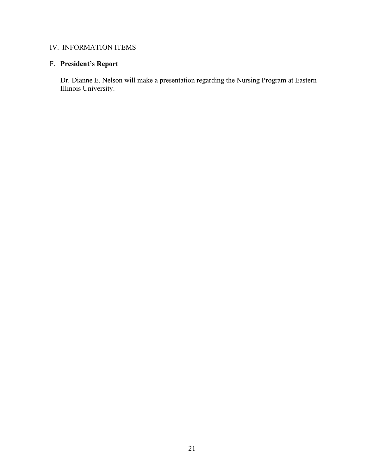# F. **President's Report**

Dr. Dianne E. Nelson will make a presentation regarding the Nursing Program at Eastern Illinois University.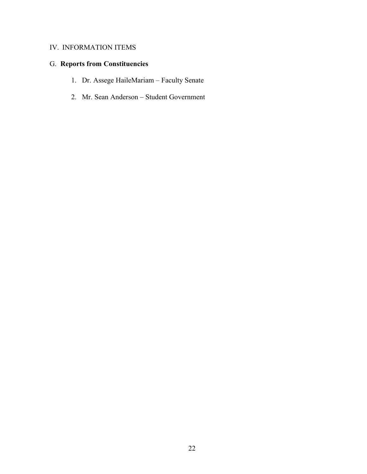# G. **Reports from Constituencies**

- 1. Dr. Assege HaileMariam Faculty Senate
- 2. Mr. Sean Anderson Student Government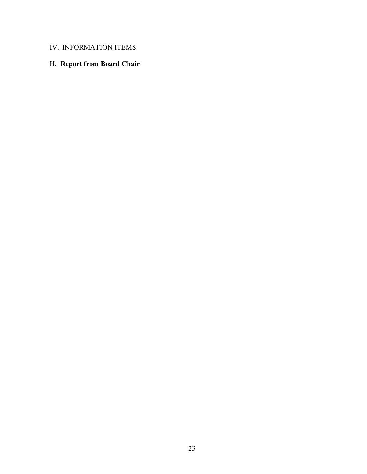# H. **Report from Board Chair**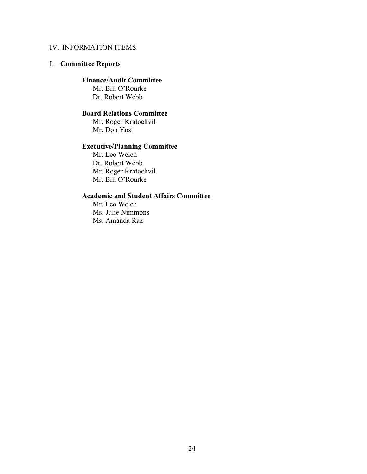# I. **Committee Reports**

# **Finance/Audit Committee**

Mr. Bill O'Rourke Dr. Robert Webb

# **Board Relations Committee**

Mr. Roger Kratochvil Mr. Don Yost

# **Executive/Planning Committee**

Mr. Leo Welch Dr. Robert Webb Mr. Roger Kratochvil Mr. Bill O'Rourke

# **Academic and Student Affairs Committee**

Mr. Leo Welch Ms. Julie Nimmons Ms. Amanda Raz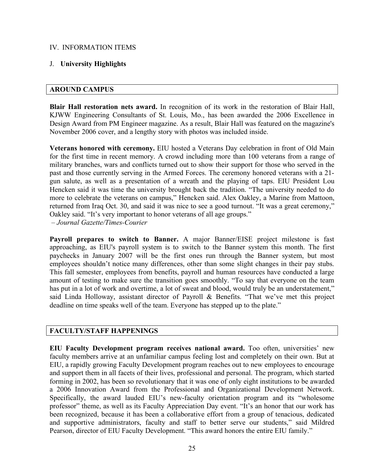# J. **University Highlights**

## **AROUND CAMPUS**

**Blair Hall restoration nets award.** In recognition of its work in the restoration of Blair Hall, KJWW Engineering Consultants of St. Louis, Mo., has been awarded the 2006 Excellence in Design Award from PM Engineer magazine. As a result, Blair Hall was featured on the magazine's November 2006 cover, and a lengthy story with photos was included inside.

**Veterans honored with ceremony.** EIU hosted a Veterans Day celebration in front of Old Main for the first time in recent memory. A crowd including more than 100 veterans from a range of military branches, wars and conflicts turned out to show their support for those who served in the past and those currently serving in the Armed Forces. The ceremony honored veterans with a 21 gun salute, as well as a presentation of a wreath and the playing of taps. EIU President Lou Hencken said it was time the university brought back the tradition. "The university needed to do more to celebrate the veterans on campus," Hencken said. Alex Oakley, a Marine from Mattoon, returned from Iraq Oct. 30, and said it was nice to see a good turnout. "It was a great ceremony," Oakley said. "It's very important to honor veterans of all age groups."

*– Journal Gazette/Times-Courier*

**Payroll prepares to switch to Banner.** A major Banner/EISE project milestone is fast approaching, as EIU's payroll system is to switch to the Banner system this month. The first paychecks in January 2007 will be the first ones run through the Banner system, but most employees shouldn't notice many differences, other than some slight changes in their pay stubs. This fall semester, employees from benefits, payroll and human resources have conducted a large amount of testing to make sure the transition goes smoothly. "To say that everyone on the team has put in a lot of work and overtime, a lot of sweat and blood, would truly be an understatement," said Linda Holloway, assistant director of Payroll & Benefits. "That we've met this project deadline on time speaks well of the team. Everyone has stepped up to the plate."

# **FACULTY/STAFF HAPPENINGS**

**EIU Faculty Development program receives national award.** Too often, universities' new faculty members arrive at an unfamiliar campus feeling lost and completely on their own. But at EIU, a rapidly growing Faculty Development program reaches out to new employees to encourage and support them in all facets of their lives, professional and personal. The program, which started forming in 2002, has been so revolutionary that it was one of only eight institutions to be awarded a 2006 Innovation Award from the Professional and Organizational Development Network. Specifically, the award lauded EIU's new-faculty orientation program and its "wholesome professor" theme, as well as its Faculty Appreciation Day event. "It's an honor that our work has been recognized, because it has been a collaborative effort from a group of tenacious, dedicated and supportive administrators, faculty and staff to better serve our students," said Mildred Pearson, director of EIU Faculty Development. "This award honors the entire EIU family."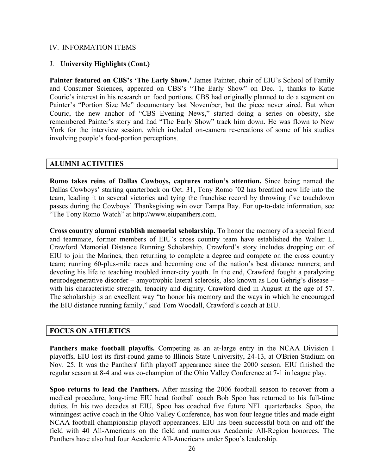### J. **University Highlights (Cont.)**

**Painter featured on CBS's 'The Early Show.'** James Painter, chair of EIU's School of Family and Consumer Sciences, appeared on CBS's "The Early Show" on Dec. 1, thanks to Katie Couric's interest in his research on food portions. CBS had originally planned to do a segment on Painter's "Portion Size Me" documentary last November, but the piece never aired. But when Couric, the new anchor of "CBS Evening News," started doing a series on obesity, she remembered Painter's story and had "The Early Show" track him down. He was flown to New York for the interview session, which included on-camera re-creations of some of his studies involving people's food-portion perceptions.

#### **ALUMNI ACTIVITIES**

**Romo takes reins of Dallas Cowboys, captures nation's attention.** Since being named the Dallas Cowboys' starting quarterback on Oct. 31, Tony Romo '02 has breathed new life into the team, leading it to several victories and tying the franchise record by throwing five touchdown passes during the Cowboys' Thanksgiving win over Tampa Bay. For up-to-date information, see "The Tony Romo Watch" at http://www.eiupanthers.com.

**Cross country alumni establish memorial scholarship.** To honor the memory of a special friend and teammate, former members of EIU's cross country team have established the Walter L. Crawford Memorial Distance Running Scholarship. Crawford's story includes dropping out of EIU to join the Marines, then returning to complete a degree and compete on the cross country team; running 60-plus-mile races and becoming one of the nation's best distance runners; and devoting his life to teaching troubled inner-city youth. In the end, Crawford fought a paralyzing neurodegenerative disorder – amyotrophic lateral sclerosis, also known as Lou Gehrig's disease – with his characteristic strength, tenacity and dignity. Crawford died in August at the age of 57. The scholarship is an excellent way "to honor his memory and the ways in which he encouraged the EIU distance running family," said Tom Woodall, Crawford's coach at EIU.

### **FOCUS ON ATHLETICS**

**Panthers make football playoffs.** Competing as an at-large entry in the NCAA Division I playoffs, EIU lost its first-round game to Illinois State University, 24-13, at O'Brien Stadium on Nov. 25. It was the Panthers' fifth playoff appearance since the 2000 season. EIU finished the regular season at 8-4 and was co-champion of the Ohio Valley Conference at 7-1 in league play.

**Spoo returns to lead the Panthers.** After missing the 2006 football season to recover from a medical procedure, long-time EIU head football coach Bob Spoo has returned to his full-time duties. In his two decades at EIU, Spoo has coached five future NFL quarterbacks. Spoo, the winningest active coach in the Ohio Valley Conference, has won four league titles and made eight NCAA football championship playoff appearances. EIU has been successful both on and off the field with 40 All-Americans on the field and numerous Academic All-Region honorees. The Panthers have also had four Academic All-Americans under Spoo's leadership.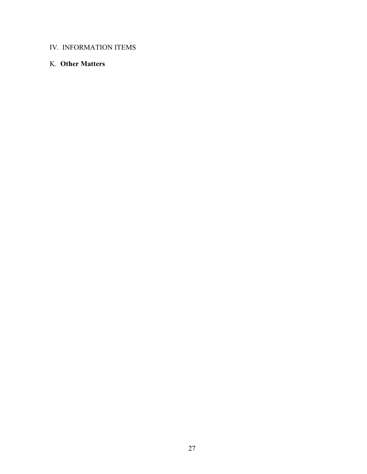# K. **Other Matters**